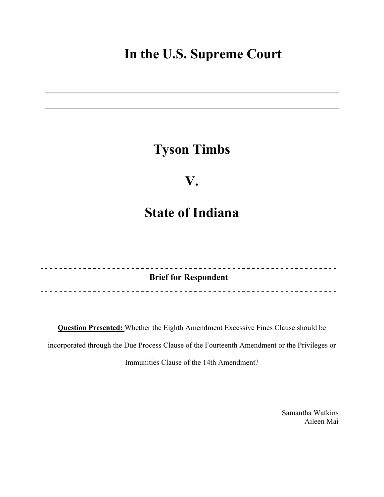# **In the U.S. Supreme Court**

# **Tyson Timbs**

## **V.**

# **State of Indiana**

**Brief for Respondent**  

**Question Presented:** Whether the Eighth Amendment Excessive Fines Clause should be incorporated through the Due Process Clause of the Fourteenth Amendment or the Privileges or Immunities Clause of the 14th Amendment?

> Samantha Watkins Aileen Mai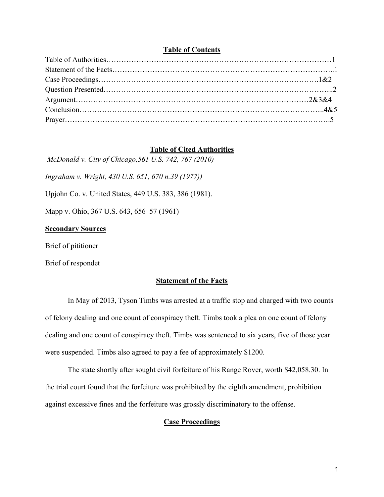### **Table of Contents**

## **Table of Cited Authorities**

*McDonald v. City of Chicago,561 U.S. 742, 767 (2010)*

*Ingraham v. Wright, 430 U.S. 651, 670 n.39 (1977))*

Upjohn Co. v. United States, 449 U.S. 383, 386 (1981).

Mapp v. Ohio, 367 U.S. 643, 656–57 (1961)

## **Secondary Sources**

Brief of pititioner

Brief of respondet

### **Statement of the Facts**

In May of 2013, Tyson Timbs was arrested at a traffic stop and charged with two counts of felony dealing and one count of conspiracy theft. Timbs took a plea on one count of felony dealing and one count of conspiracy theft. Timbs was sentenced to six years, five of those year were suspended. Timbs also agreed to pay a fee of approximately \$1200.

The state shortly after sought civil forfeiture of his Range Rover, worth \$42,058.30. In the trial court found that the forfeiture was prohibited by the eighth amendment, prohibition against excessive fines and the forfeiture was grossly discriminatory to the offense.

## **Case Proceedings**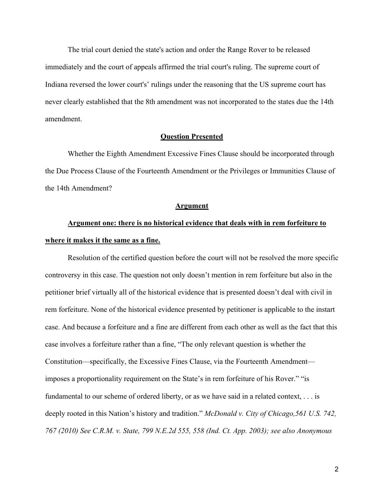The trial court denied the state's action and order the Range Rover to be released immediately and the court of appeals affirmed the trial court's ruling. The supreme court of Indiana reversed the lower court's' rulings under the reasoning that the US supreme court has never clearly established that the 8th amendment was not incorporated to the states due the 14th amendment.

### **Question Presented**

Whether the Eighth Amendment Excessive Fines Clause should be incorporated through the Due Process Clause of the Fourteenth Amendment or the Privileges or Immunities Clause of the 14th Amendment?

#### **Argument**

## **Argument one: there is no historical evidence that deals with in rem forfeiture to where it makes it the same as a fine.**

Resolution of the certified question before the court will not be resolved the more specific controversy in this case. The question not only doesn't mention in rem forfeiture but also in the petitioner brief virtually all of the historical evidence that is presented doesn't deal with civil in rem forfeiture. None of the historical evidence presented by petitioner is applicable to the instart case. And because a forfeiture and a fine are different from each other as well as the fact that this case involves a forfeiture rather than a fine, "The only relevant question is whether the Constitution—specifically, the Excessive Fines Clause, via the Fourteenth Amendment imposes a proportionality requirement on the State's in rem forfeiture of his Rover." "is fundamental to our scheme of ordered liberty, or as we have said in a related context, . . . is deeply rooted in this Nation's history and tradition." *McDonald v. City of Chicago,561 U.S. 742, 767 (2010) See C.R.M. v. State, 799 N.E.2d 555, 558 (Ind. Ct. App. 2003); see also Anonymous*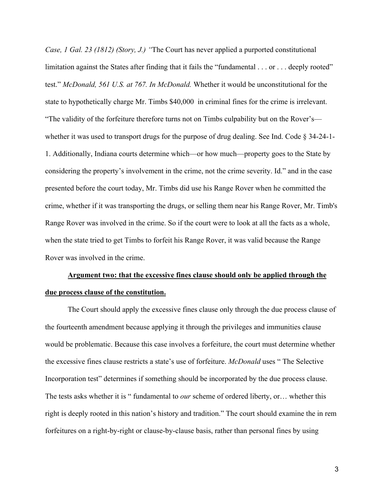*Case, 1 Gal. 23 (1812) (Story, J.) "*The Court has never applied a purported constitutional limitation against the States after finding that it fails the "fundamental . . . or . . . deeply rooted" test." *McDonald, 561 U.S. at 767. In McDonald.* Whether it would be unconstitutional for the state to hypothetically charge Mr. Timbs \$40,000 in criminal fines for the crime is irrelevant. "The validity of the forfeiture therefore turns not on Timbs culpability but on the Rover's whether it was used to transport drugs for the purpose of drug dealing. See Ind. Code § 34-24-1- 1. Additionally, Indiana courts determine which—or how much—property goes to the State by considering the property's involvement in the crime, not the crime severity. Id." and in the case presented before the court today, Mr. Timbs did use his Range Rover when he committed the crime, whether if it was transporting the drugs, or selling them near his Range Rover, Mr. Timb's Range Rover was involved in the crime. So if the court were to look at all the facts as a whole, when the state tried to get Timbs to forfeit his Range Rover, it was valid because the Range Rover was involved in the crime.

## **Argument two: that the excessive fines clause should only be applied through the due process clause of the constitution.**

The Court should apply the excessive fines clause only through the due process clause of the fourteenth amendment because applying it through the privileges and immunities clause would be problematic. Because this case involves a forfeiture, the court must determine whether the excessive fines clause restricts a state's use of forfeiture. *McDonald* uses " The Selective Incorporation test" determines if something should be incorporated by the due process clause. The tests asks whether it is " fundamental to *our* scheme of ordered liberty, or… whether this right is deeply rooted in this nation's history and tradition." The court should examine the in rem forfeitures on a right-by-right or clause-by-clause basis, rather than personal fines by using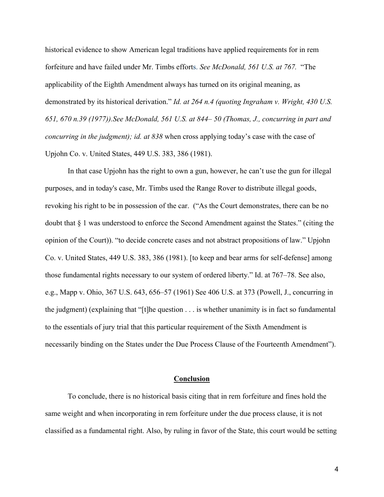historical evidence to show American legal traditions have applied requirements for in rem forfeiture and have failed under Mr. Timbs efforts. *See McDonald, 561 U.S. at 767.* "The applicability of the Eighth Amendment always has turned on its original meaning, as demonstrated by its historical derivation." *Id. at 264 n.4 (quoting Ingraham v. Wright, 430 U.S. 651, 670 n.39 (1977)).See McDonald, 561 U.S. at 844– 50 (Thomas, J., concurring in part and concurring in the judgment); id. at 838* when cross applying today's case with the case of Upjohn Co. v. United States, 449 U.S. 383, 386 (1981).

In that case Upjohn has the right to own a gun, however, he can't use the gun for illegal purposes, and in today's case, Mr. Timbs used the Range Rover to distribute illegal goods, revoking his right to be in possession of the car. ("As the Court demonstrates, there can be no doubt that § 1 was understood to enforce the Second Amendment against the States." (citing the opinion of the Court)). "to decide concrete cases and not abstract propositions of law." Upjohn Co. v. United States, 449 U.S. 383, 386 (1981). [to keep and bear arms for self-defense] among those fundamental rights necessary to our system of ordered liberty." Id. at 767–78. See also, e.g., Mapp v. Ohio, 367 U.S. 643, 656–57 (1961) See 406 U.S. at 373 (Powell, J., concurring in the judgment) (explaining that "[t]he question  $\dots$  is whether unanimity is in fact so fundamental to the essentials of jury trial that this particular requirement of the Sixth Amendment is necessarily binding on the States under the Due Process Clause of the Fourteenth Amendment").

#### **Conclusion**

To conclude, there is no historical basis citing that in rem forfeiture and fines hold the same weight and when incorporating in rem forfeiture under the due process clause, it is not classified as a fundamental right. Also, by ruling in favor of the State, this court would be setting